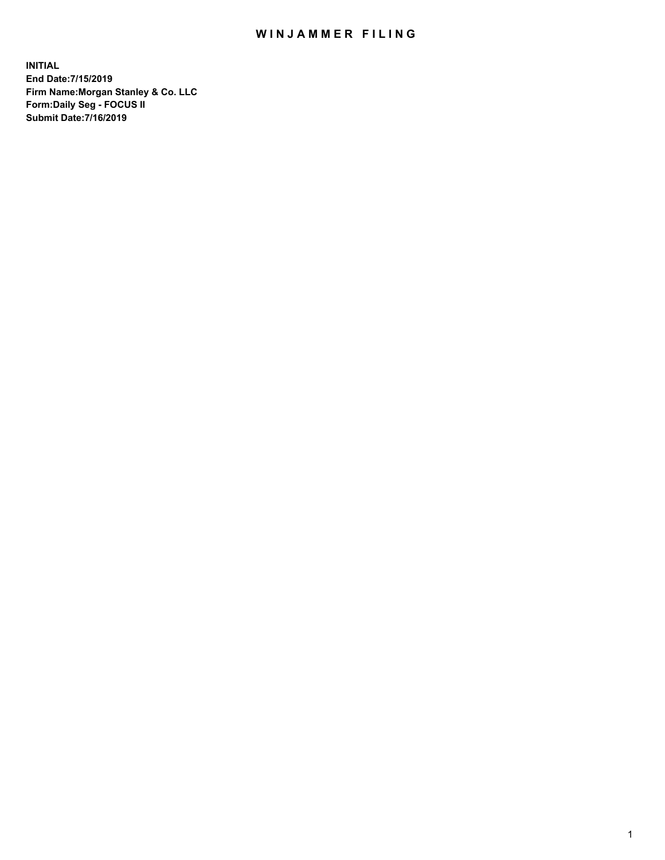## WIN JAMMER FILING

**INITIAL End Date:7/15/2019 Firm Name:Morgan Stanley & Co. LLC Form:Daily Seg - FOCUS II Submit Date:7/16/2019**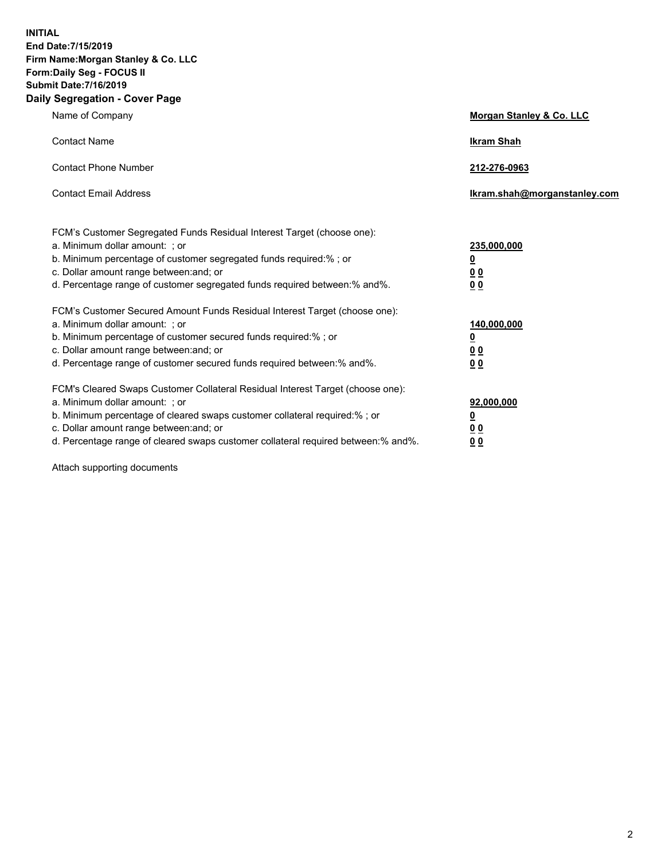**INITIAL End Date:7/15/2019 Firm Name:Morgan Stanley & Co. LLC Form:Daily Seg - FOCUS II Submit Date:7/16/2019 Daily Segregation - Cover Page**

| Name of Company                                                                                                                                                                                                                                                                                                               | Morgan Stanley & Co. LLC                                    |
|-------------------------------------------------------------------------------------------------------------------------------------------------------------------------------------------------------------------------------------------------------------------------------------------------------------------------------|-------------------------------------------------------------|
| <b>Contact Name</b>                                                                                                                                                                                                                                                                                                           | <b>Ikram Shah</b>                                           |
| <b>Contact Phone Number</b>                                                                                                                                                                                                                                                                                                   | 212-276-0963                                                |
| <b>Contact Email Address</b>                                                                                                                                                                                                                                                                                                  | Ikram.shah@morganstanley.com                                |
| FCM's Customer Segregated Funds Residual Interest Target (choose one):<br>a. Minimum dollar amount: ; or<br>b. Minimum percentage of customer segregated funds required:% ; or<br>c. Dollar amount range between: and; or<br>d. Percentage range of customer segregated funds required between:% and%.                        | 235,000,000<br><u>0</u><br><u>00</u><br>0 <sup>0</sup>      |
| FCM's Customer Secured Amount Funds Residual Interest Target (choose one):<br>a. Minimum dollar amount: ; or<br>b. Minimum percentage of customer secured funds required:%; or<br>c. Dollar amount range between: and; or<br>d. Percentage range of customer secured funds required between:% and%.                           | 140,000,000<br><u>0</u><br>0 <sub>0</sub><br>0 <sub>0</sub> |
| FCM's Cleared Swaps Customer Collateral Residual Interest Target (choose one):<br>a. Minimum dollar amount: ; or<br>b. Minimum percentage of cleared swaps customer collateral required:%; or<br>c. Dollar amount range between: and; or<br>d. Percentage range of cleared swaps customer collateral required between:% and%. | 92,000,000<br><u>0</u><br>0 Q<br>00                         |

Attach supporting documents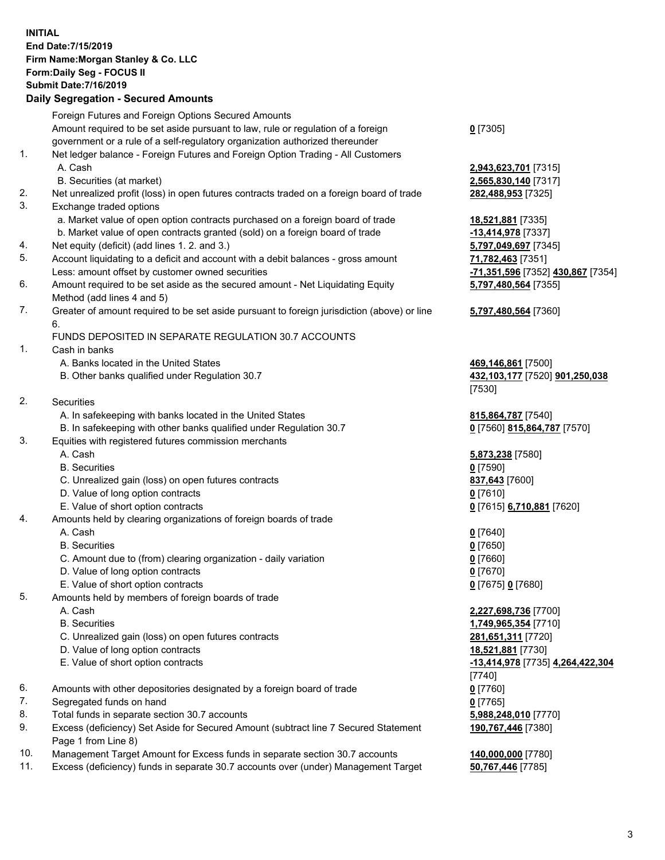## **INITIAL End Date:7/15/2019 Firm Name:Morgan Stanley & Co. LLC Form:Daily Seg - FOCUS II Submit Date:7/16/2019**

## **Daily Segregation - Secured Amounts**

Foreign Futures and Foreign Options Secured Amounts Amount required to be set aside pursuant to law, rule or regulation of a foreign government or a rule of a self-regulatory organization authorized thereunder 1. Net ledger balance - Foreign Futures and Foreign Option Trading - All Customers A. Cash **2,943,623,701** [7315] B. Securities (at market) **2,565,830,140** [7317] 2. Net unrealized profit (loss) in open futures contracts traded on a foreign board of trade **282,488,953** [7325] 3. Exchange traded options a. Market value of open option contracts purchased on a foreign board of trade **18,521,881** [7335] b. Market value of open contracts granted (sold) on a foreign board of trade **-13,414,978** [7337] 4. Net equity (deficit) (add lines 1. 2. and 3.) **5,797,049,697** [7345] 5. Account liquidating to a deficit and account with a debit balances - gross amount **71,782,463** [7351] Less: amount offset by customer owned securities **-71,351,596** [7352] **430,867** [7354] 6. Amount required to be set aside as the secured amount - Net Liquidating Equity Method (add lines 4 and 5) 7. Greater of amount required to be set aside pursuant to foreign jurisdiction (above) or line 6. FUNDS DEPOSITED IN SEPARATE REGULATION 30.7 ACCOUNTS 1. Cash in banks A. Banks located in the United States **469,146,861** [7500] B. Other banks qualified under Regulation 30.7 **432,103,177** [7520] **901,250,038** 2. Securities A. In safekeeping with banks located in the United States **815,864,787** [7540] B. In safekeeping with other banks qualified under Regulation 30.7 **0** [7560] **815,864,787** [7570] 3. Equities with registered futures commission merchants A. Cash **5,873,238** [7580] B. Securities **0** [7590] C. Unrealized gain (loss) on open futures contracts **837,643** [7600] D. Value of long option contracts **0** [7610] E. Value of short option contracts **0** [7615] **6,710,881** [7620] 4. Amounts held by clearing organizations of foreign boards of trade A. Cash **0** [7640] B. Securities **0** [7650] C. Amount due to (from) clearing organization - daily variation **0** [7660] D. Value of long option contracts **0** [7670] E. Value of short option contracts **0** [7675] **0** [7680] 5. Amounts held by members of foreign boards of trade A. Cash **2,227,698,736** [7700] B. Securities **1,749,965,354** [7710] C. Unrealized gain (loss) on open futures contracts **281,651,311** [7720] D. Value of long option contracts **18,521,881** [7730] E. Value of short option contracts **-13,414,978** [7735] **4,264,422,304** 6. Amounts with other depositories designated by a foreign board of trade **0** [7760] 7. Segregated funds on hand **0** [7765] 8. Total funds in separate section 30.7 accounts **5,988,248,010** [7770] 9. Excess (deficiency) Set Aside for Secured Amount (subtract line 7 Secured Statement Page 1 from Line 8)

- 10. Management Target Amount for Excess funds in separate section 30.7 accounts **140,000,000** [7780]
- 11. Excess (deficiency) funds in separate 30.7 accounts over (under) Management Target **50,767,446** [7785]

**0** [7305]

**5,797,480,564** [7355]

## **5,797,480,564** [7360]

[7530]

[7740] **190,767,446** [7380]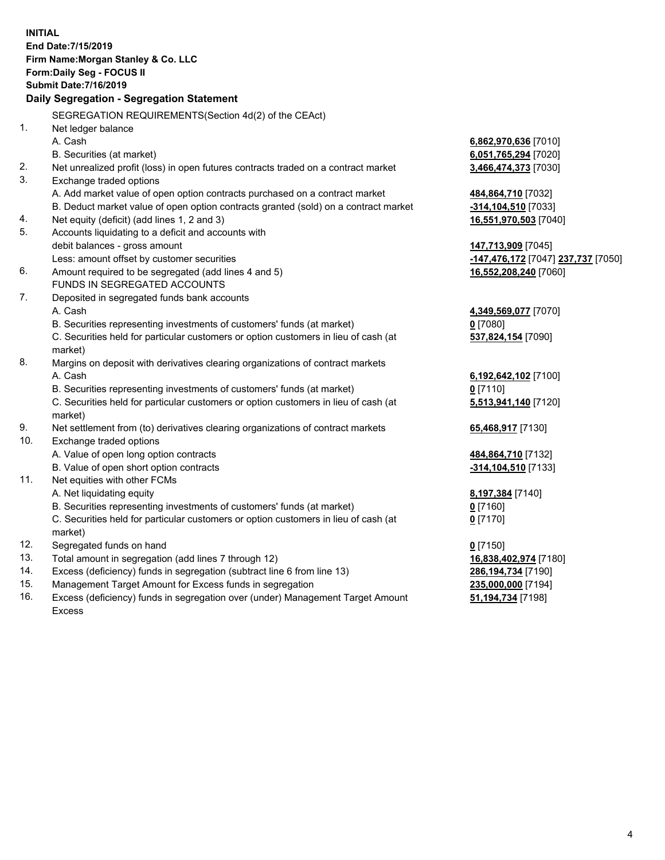**INITIAL End Date:7/15/2019 Firm Name:Morgan Stanley & Co. LLC Form:Daily Seg - FOCUS II Submit Date:7/16/2019 Daily Segregation - Segregation Statement** SEGREGATION REQUIREMENTS(Section 4d(2) of the CEAct) 1. Net ledger balance A. Cash **6,862,970,636** [7010] B. Securities (at market) **6,051,765,294** [7020] 2. Net unrealized profit (loss) in open futures contracts traded on a contract market **3,466,474,373** [7030] 3. Exchange traded options A. Add market value of open option contracts purchased on a contract market **484,864,710** [7032] B. Deduct market value of open option contracts granted (sold) on a contract market **-314,104,510** [7033] 4. Net equity (deficit) (add lines 1, 2 and 3) **16,551,970,503** [7040] 5. Accounts liquidating to a deficit and accounts with debit balances - gross amount **147,713,909** [7045] Less: amount offset by customer securities **-147,476,172** [7047] **237,737** [7050] 6. Amount required to be segregated (add lines 4 and 5) **16,552,208,240** [7060] FUNDS IN SEGREGATED ACCOUNTS 7. Deposited in segregated funds bank accounts A. Cash **4,349,569,077** [7070] B. Securities representing investments of customers' funds (at market) **0** [7080] C. Securities held for particular customers or option customers in lieu of cash (at market) **537,824,154** [7090] 8. Margins on deposit with derivatives clearing organizations of contract markets A. Cash **6,192,642,102** [7100] B. Securities representing investments of customers' funds (at market) **0** [7110] C. Securities held for particular customers or option customers in lieu of cash (at market) **5,513,941,140** [7120] 9. Net settlement from (to) derivatives clearing organizations of contract markets **65,468,917** [7130] 10. Exchange traded options A. Value of open long option contracts **484,864,710** [7132] B. Value of open short option contracts **-314,104,510** [7133] 11. Net equities with other FCMs A. Net liquidating equity **8,197,384** [7140] B. Securities representing investments of customers' funds (at market) **0** [7160] C. Securities held for particular customers or option customers in lieu of cash (at market) **0** [7170] 12. Segregated funds on hand **0** [7150] 13. Total amount in segregation (add lines 7 through 12) **16,838,402,974** [7180] 14. Excess (deficiency) funds in segregation (subtract line 6 from line 13) **286,194,734** [7190] 15. Management Target Amount for Excess funds in segregation **235,000,000** [7194] 16. Excess (deficiency) funds in segregation over (under) Management Target Amount **51,194,734** [7198]

Excess